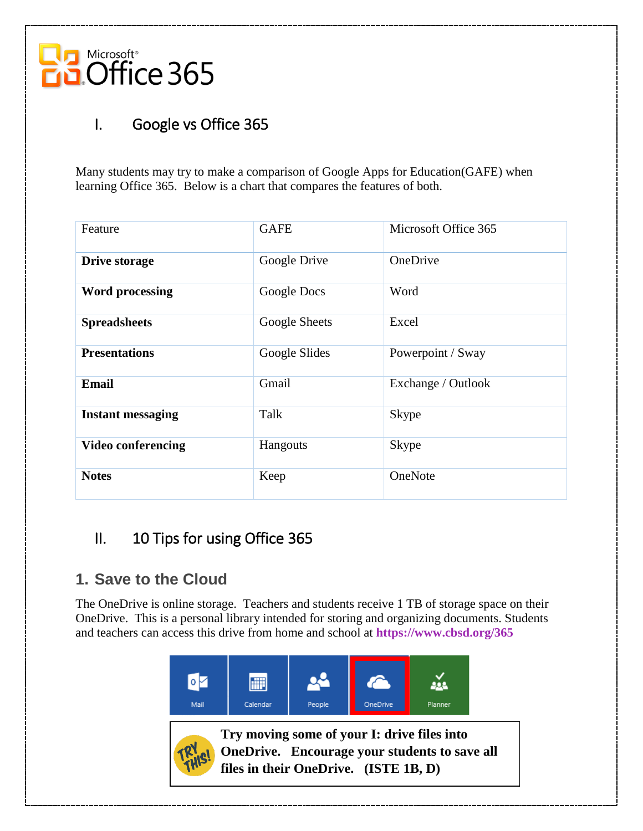

## I. Google vs Office 365

Many students may try to make a comparison of Google Apps for Education(GAFE) when learning Office 365. Below is a chart that compares the features of both.

| Feature                   | <b>GAFE</b>   | Microsoft Office 365 |
|---------------------------|---------------|----------------------|
| <b>Drive storage</b>      | Google Drive  | OneDrive             |
| <b>Word processing</b>    | Google Docs   | Word                 |
| <b>Spreadsheets</b>       | Google Sheets | Excel                |
| <b>Presentations</b>      | Google Slides | Powerpoint / Sway    |
| <b>Email</b>              | Gmail         | Exchange / Outlook   |
| <b>Instant messaging</b>  | Talk          | <b>Skype</b>         |
| <b>Video conferencing</b> | Hangouts      | <b>Skype</b>         |
| <b>Notes</b>              | Keep          | OneNote              |

### II. 10 Tips for using Office 365

#### **1. Save to the Cloud**

The OneDrive is online storage. Teachers and students receive 1 TB of storage space on their OneDrive. This is a personal library intended for storing and organizing documents. Students and teachers can access this drive from home and school at **<https://www.cbsd.org/365>**





**Try moving some of your I: drive files into OneDrive. Encourage your students to save all files in their OneDrive. (ISTE 1B, D)**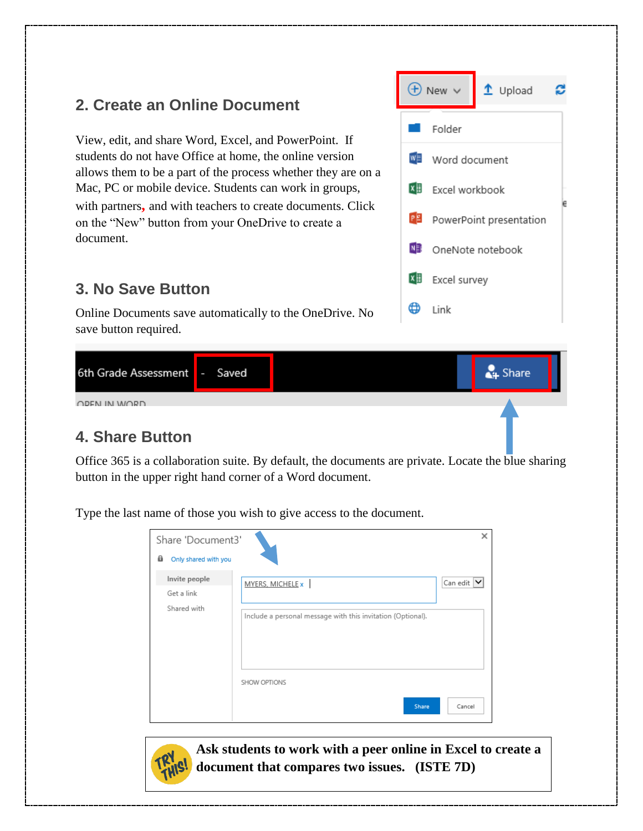### **2. Create an Online Document**

View, edit, and share Word, Excel, and PowerPoint. If students do not have Office at home, the online version allows them to be a part of the process whether they are on a Mac, PC or mobile device. Students can work in groups, with partners**,** and with teachers to create documents. Click on the "New" button from your OneDrive to create a document.

#### **3. No Save Button**

Online Documents save automatically to the OneDrive. No save button required.



#### **4. Share Button**

Office 365 is a collaboration suite. By default, the documents are [private.](http://alicekeeler.com/2016/03/26/sharing-settings-google-docs/) Locate the blue sharing button in the upper right hand corner of a Word document.

Type the last name of those you wish to give access to the document.

| Share 'Document3'<br>8<br>Only shared with you |                                                             | ×              |
|------------------------------------------------|-------------------------------------------------------------|----------------|
| Invite people<br>Get a link                    | MYERS, MICHELE x                                            | Can edit $ v $ |
| Shared with                                    | Include a personal message with this invitation (Optional). |                |
|                                                | SHOW OPTIONS                                                |                |
|                                                | Share                                                       | Cancel         |



**Ask students to work with a peer online in Excel to create a document that compares two issues. (ISTE 7D)**

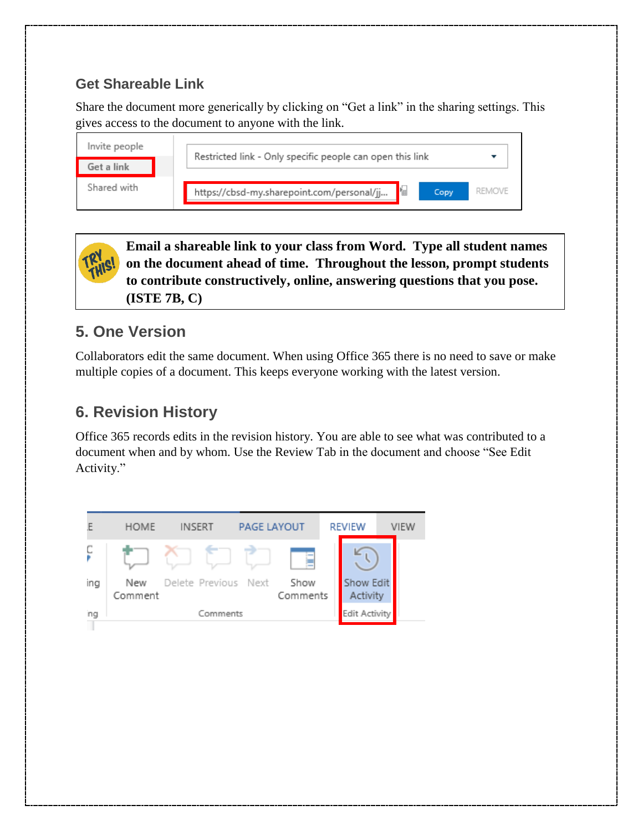#### **Get Shareable Link**

Share the document more generically by clicking on "Get a link" in the sharing settings. This gives access to the document to anyone with the link.

| Invite people | Restricted link - Only specific people can open this link |        |
|---------------|-----------------------------------------------------------|--------|
| Get a link    |                                                           |        |
| Shared with   | https://cbsd-my.sharepoint.com/personal/jj<br>Copy        | REMOVE |

**Email a shareable link to your class from Word. Type all student names on the document ahead of time. Throughout the lesson, prompt students to contribute constructively, online, answering questions that you pose. (ISTE 7B, C)**

## **5. One Version**

Collaborators edit the same document. When using Office 365 there is no need to save or make multiple copies of a document. This keeps everyone working with the latest version.

# **6. Revision History**

Office 365 records edits in the revision history. You are able to see what was contributed to a document when and by whom. Use the Review Tab in the document and choose "See Edit Activity."

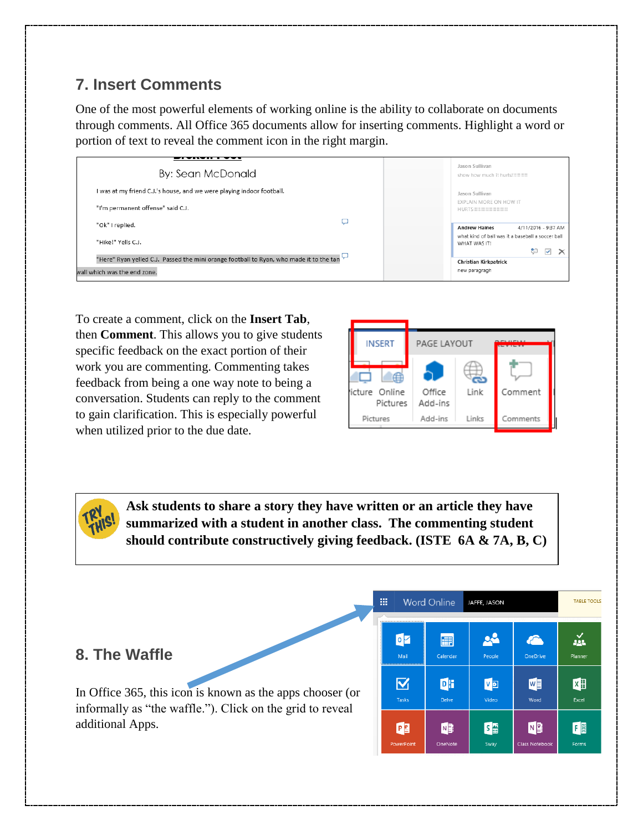## **7. Insert Comments**

One of the most powerful elements of working online is the ability to collaborate on documents through comments. All Office 365 documents allow for inserting comments. Highlight a word or portion of text to reveal the comment icon in the right margin.

| By: Sean McDonald                                                                       | Jason Sullivan<br>show how much it hurts!!!!!!!!!!!               |
|-----------------------------------------------------------------------------------------|-------------------------------------------------------------------|
| I was at my friend C.J.'s house, and we were playing indoor football.                   | Jason Sullivan                                                    |
| "I'm permanent offense" said C.J.                                                       | EXPLAIN MORE ON HOW IT<br>HURTS!!!!!!!!!!!!!!!!!!!!!!             |
| "Ok" I replied.                                                                         | 4/11/2016 - 9:37 AM<br><b>Andrew Haines</b>                       |
| "Hike!" Yells C.J.                                                                      | what kind of ball was it a baseball a soccer ball<br>WHAT WAS IT! |
| "Here" Ryan yelled C.J. Passed the mini orange football to Ryan, who made it to the tan | $\checkmark$<br><b>Christian Kirkpatrick</b>                      |
| wall which was the end zone.                                                            | new paragragh                                                     |

To create a comment, click on the **Insert Tab**, then **Comment**. This allows you to give students specific feedback on the exact portion of their work you are commenting. Commenting takes feedback from being a one way note to being a conversation. Students can reply to the comment to gain clarification. This is especially powerful when utilized prior to the due date.



**Ask students to share a story they have written or an article they have summarized with a student in another class. The commenting student should contribute constructively giving feedback. (ISTE 6A & 7A, B, C)**

|                                                           | 冊                       | <b>Word Online</b><br>JAFFE, JASON |                              | <b>TABLE TOOLS</b> |              |
|-----------------------------------------------------------|-------------------------|------------------------------------|------------------------------|--------------------|--------------|
| 8. The Waffle                                             | <br>$\bullet$<br>Mail   | 圃<br>Calendar                      | 08<br>People                 | OneDrive           | 益<br>Planner |
| In Office 365, this icon is known as the apps chooser (or | $\overline{\mathbf{v}}$ | DH                                 | $V$ <b>D</b>                 | WE                 | $x \equiv$   |
| informally as "the waffle."). Click on the grid to reveal | Tasks                   | Delve                              | Video                        | Word               | Excel        |
| additional Apps.                                          | P <sub>3</sub>          | N <sub>3</sub>                     | $S \rightarrow \blacksquare$ | N <sup>2</sup>     | FB           |
|                                                           | PowerPoint              | OneNote                            | Sway                         | Class Notebook     | Forms        |